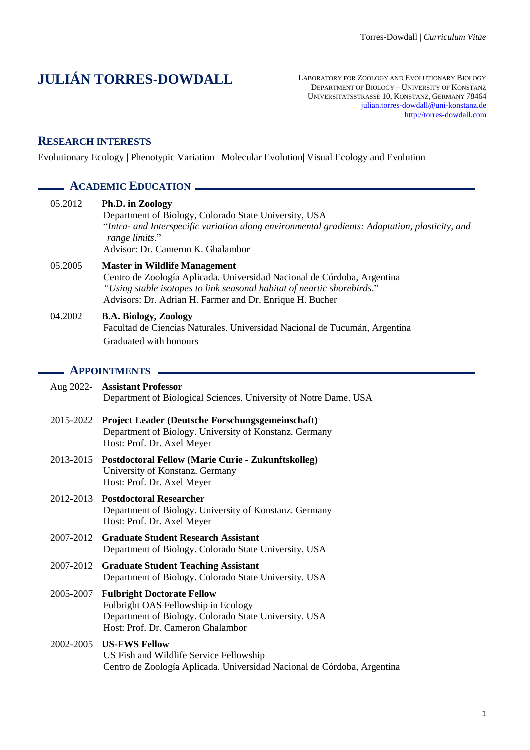# **JULIÁN TORRES-DOWDALL**

LABORATORY FOR ZOOLOGY AND EVOLUTIONARY BIOLOGY DEPARTMENT OF BIOLOGY – UNIVERSITY OF KONSTANZ UNIVERSITÄTSSTRASSE 10, KONSTANZ, GERMANY 78464 [julian.torres-dowdall@uni-konstanz.de](mailto:julian.torres-dowdall@uni-konstanz.de) [http://torres-dowdall.com](http://torres-dowdall.com/)

## **RESEARCH INTERESTS**

Evolutionary Ecology | Phenotypic Variation | Molecular Evolution| Visual Ecology and Evolution

# **ACADEMIC EDUCATION**

| 05.2012   | Ph.D. in Zoology<br>Department of Biology, Colorado State University, USA<br>"Intra- and Interspecific variation along environmental gradients: Adaptation, plasticity, and<br>range limits."<br>Advisor: Dr. Cameron K. Ghalambor                     |
|-----------|--------------------------------------------------------------------------------------------------------------------------------------------------------------------------------------------------------------------------------------------------------|
| 05.2005   | <b>Master in Wildlife Management</b><br>Centro de Zoología Aplicada. Universidad Nacional de Córdoba, Argentina<br>"Using stable isotopes to link seasonal habitat of neartic shorebirds."<br>Advisors: Dr. Adrian H. Farmer and Dr. Enrique H. Bucher |
| 04.2002   | <b>B.A. Biology, Zoology</b><br>Facultad de Ciencias Naturales. Universidad Nacional de Tucumán, Argentina<br>Graduated with honours                                                                                                                   |
|           | <b>APPOINTMENTS</b>                                                                                                                                                                                                                                    |
| Aug 2022- | <b>Assistant Professor</b><br>Department of Biological Sciences. University of Notre Dame. USA                                                                                                                                                         |
| 2015-2022 | Project Leader (Deutsche Forschungsgemeinschaft)<br>Department of Biology. University of Konstanz. Germany<br>Host: Prof. Dr. Axel Meyer                                                                                                               |
| 2013-2015 | <b>Postdoctoral Fellow (Marie Curie - Zukunftskolleg)</b><br>University of Konstanz. Germany<br>Host: Prof. Dr. Axel Meyer                                                                                                                             |
|           | 2012-2013 Postdoctoral Researcher<br>Department of Biology. University of Konstanz. Germany<br>Host: Prof. Dr. Axel Meyer                                                                                                                              |
| 2007-2012 | <b>Graduate Student Research Assistant</b><br>Department of Biology. Colorado State University. USA                                                                                                                                                    |
| 2007-2012 | <b>Graduate Student Teaching Assistant</b><br>Department of Biology. Colorado State University. USA                                                                                                                                                    |
| 2005-2007 | <b>Fulbright Doctorate Fellow</b><br>Fulbright OAS Fellowship in Ecology<br>Department of Biology. Colorado State University. USA<br>Host: Prof. Dr. Cameron Ghalambor                                                                                 |
| 2002-2005 | <b>US-FWS Fellow</b><br>US Fish and Wildlife Service Fellowship<br>Centro de Zoología Aplicada. Universidad Nacional de Córdoba, Argentina                                                                                                             |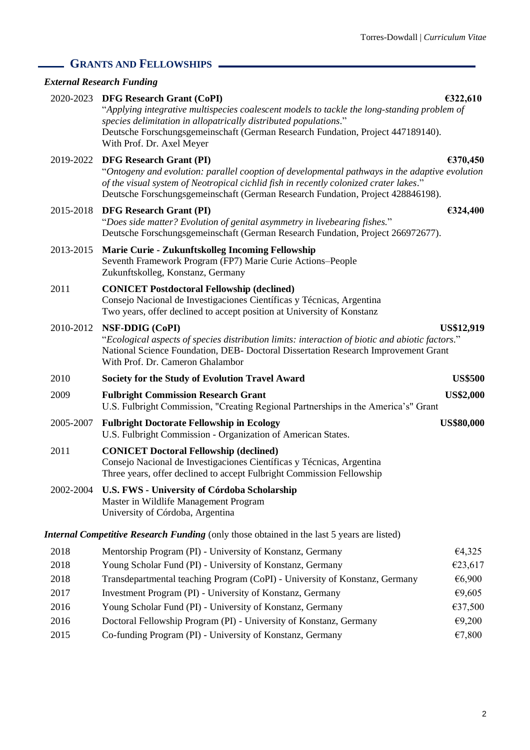# **GRANTS AND FELLOWSHIPS**

# *External Research Funding*

|           | 2020-2023 DFG Research Grant (CoPI)<br>"Applying integrative multispecies coalescent models to tackle the long-standing problem of<br>species delimitation in allopatrically distributed populations."<br>Deutsche Forschungsgemeinschaft (German Research Fundation, Project 447189140).<br>With Prof. Dr. Axel Meyer | €322,610          |
|-----------|------------------------------------------------------------------------------------------------------------------------------------------------------------------------------------------------------------------------------------------------------------------------------------------------------------------------|-------------------|
|           | 2019-2022 DFG Research Grant (PI)<br>"Ontogeny and evolution: parallel cooption of developmental pathways in the adaptive evolution<br>of the visual system of Neotropical cichlid fish in recently colonized crater lakes."<br>Deutsche Forschungsgemeinschaft (German Research Fundation, Project 428846198).        | €370,450          |
| 2015-2018 | <b>DFG Research Grant (PI)</b><br>"Does side matter? Evolution of genital asymmetry in livebearing fishes."<br>Deutsche Forschungsgemeinschaft (German Research Fundation, Project 266972677).                                                                                                                         | €324,400          |
| 2013-2015 | Marie Curie - Zukunftskolleg Incoming Fellowship<br>Seventh Framework Program (FP7) Marie Curie Actions-People<br>Zukunftskolleg, Konstanz, Germany                                                                                                                                                                    |                   |
| 2011      | <b>CONICET Postdoctoral Fellowship (declined)</b><br>Consejo Nacional de Investigaciones Científicas y Técnicas, Argentina<br>Two years, offer declined to accept position at University of Konstanz                                                                                                                   |                   |
| 2010-2012 | NSF-DDIG (CoPI)<br>"Ecological aspects of species distribution limits: interaction of biotic and abiotic factors."<br>National Science Foundation, DEB- Doctoral Dissertation Research Improvement Grant<br>With Prof. Dr. Cameron Ghalambor                                                                           | <b>US\$12,919</b> |
| 2010      | Society for the Study of Evolution Travel Award                                                                                                                                                                                                                                                                        | <b>US\$500</b>    |
| 2009      | <b>Fulbright Commission Research Grant</b><br>U.S. Fulbright Commission, "Creating Regional Partnerships in the America's" Grant                                                                                                                                                                                       | <b>US\$2,000</b>  |
| 2005-2007 | <b>Fulbright Doctorate Fellowship in Ecology</b><br>U.S. Fulbright Commission - Organization of American States.                                                                                                                                                                                                       | <b>US\$80,000</b> |
| 2011      | <b>CONICET Doctoral Fellowship (declined)</b><br>Consejo Nacional de Investigaciones Científicas y Técnicas, Argentina<br>Three years, offer declined to accept Fulbright Commission Fellowship                                                                                                                        |                   |
|           | 2002-2004 U.S. FWS - University of Córdoba Scholarship<br>Master in Wildlife Management Program<br>University of Córdoba, Argentina                                                                                                                                                                                    |                   |
|           | Internal Competitive Research Funding (only those obtained in the last 5 years are listed)                                                                                                                                                                                                                             |                   |
| 2018      | Mentorship Program (PI) - University of Konstanz, Germany                                                                                                                                                                                                                                                              | €4,325            |
| 2018      | Young Scholar Fund (PI) - University of Konstanz, Germany                                                                                                                                                                                                                                                              | €23,617           |
| 2018      | Transdepartmental teaching Program (CoPI) - University of Konstanz, Germany                                                                                                                                                                                                                                            | €6,900            |
| 2017      | Investment Program (PI) - University of Konstanz, Germany                                                                                                                                                                                                                                                              | €9,605            |
| 2016      | Young Scholar Fund (PI) - University of Konstanz, Germany                                                                                                                                                                                                                                                              | €37,500           |
| 2016      | Doctoral Fellowship Program (PI) - University of Konstanz, Germany                                                                                                                                                                                                                                                     | €9,200            |
|           |                                                                                                                                                                                                                                                                                                                        |                   |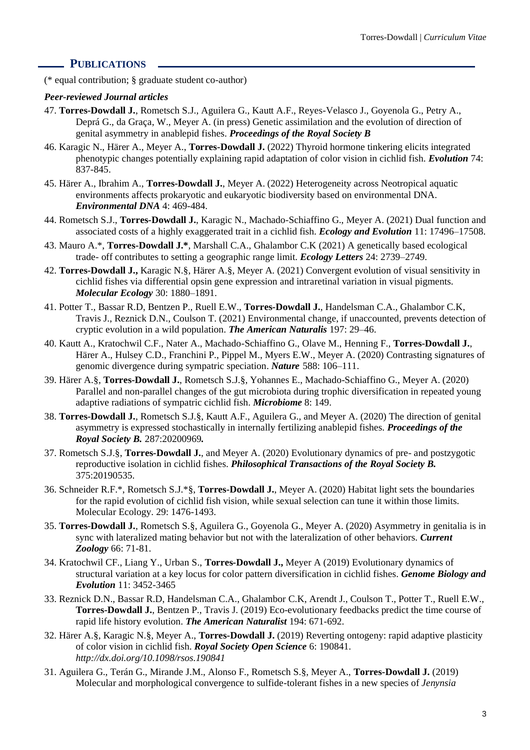#### **PUBLICATIONS**

(\* equal contribution; § graduate student co-author)

#### *Peer-reviewed Journal articles*

- 47. **Torres-Dowdall J.**, Rometsch S.J., Aguilera G., Kautt A.F., Reyes-Velasco J., Goyenola G., Petry A., Deprá G., da Graça, W., Meyer A. (in press) Genetic assimilation and the evolution of direction of genital asymmetry in anablepid fishes. *Proceedings of the Royal Society B*
- 46. Karagic N., Härer A., Meyer A., **Torres-Dowdall J.** (2022) Thyroid hormone tinkering elicits integrated phenotypic changes potentially explaining rapid adaptation of color vision in cichlid fish. *Evolution* 74: 837-845.
- 45. Härer A., Ibrahim A., **Torres-Dowdall J.**, Meyer A. (2022) Heterogeneity across Neotropical aquatic environments affects prokaryotic and eukaryotic biodiversity based on environmental DNA. *Environmental DNA* 4: 469-484.
- 44. Rometsch S.J., **Torres-Dowdall J.**, Karagic N., Machado-Schiaffino G., Meyer A. (2021) Dual function and associated costs of a highly exaggerated trait in a cichlid fish. *Ecology and Evolution* 11: 17496–17508.
- 43. Mauro A.\*, **Torres-Dowdall J.\***, Marshall C.A., Ghalambor C.K (2021) A genetically based ecological trade- off contributes to setting a geographic range limit. *Ecology Letters* 24: 2739–2749.
- 42. **Torres-Dowdall J.,** Karagic N.§, Härer A.§, Meyer A. (2021) Convergent evolution of visual sensitivity in cichlid fishes via differential opsin gene expression and intraretinal variation in visual pigments. *Molecular Ecology* 30: 1880–1891.
- 41. Potter T., Bassar R.D, Bentzen P., Ruell E.W., **Torres-Dowdall J.**, Handelsman C.A., Ghalambor C.K, Travis J., Reznick D.N., Coulson T. (2021) Environmental change, if unaccounted, prevents detection of cryptic evolution in a wild population. *The American Naturalis* 197: 29–46.
- 40. Kautt A., Kratochwil C.F., Nater A., Machado-Schiaffino G., Olave M., Henning F., **Torres-Dowdall J.**, Härer A., Hulsey C.D., Franchini P., Pippel M., Myers E.W., Meyer A. (2020) Contrasting signatures of genomic divergence during sympatric speciation. *Nature* 588: 106–111.
- 39. Härer A.§, **Torres-Dowdall J.**, Rometsch S.J.§, Yohannes E., Machado-Schiaffino G., Meyer A. (2020) Parallel and non-parallel changes of the gut microbiota during trophic diversification in repeated young adaptive radiations of sympatric cichlid fish. *Microbiome* 8: 149.
- 38. **Torres-Dowdall J.**, Rometsch S.J.§, Kautt A.F., Aguilera G., and Meyer A. (2020) The direction of genital asymmetry is expressed stochastically in internally fertilizing anablepid fishes. *Proceedings of the Royal Society B.* 287:20200969*.*
- 37. Rometsch S.J.§, **Torres-Dowdall J.**, and Meyer A. (2020) Evolutionary dynamics of pre- and postzygotic reproductive isolation in cichlid fishes. *Philosophical Transactions of the Royal Society B.* 375:20190535.
- 36. Schneider R.F.\*, Rometsch S.J.\*§, **Torres-Dowdall J.**, Meyer A. (2020) Habitat light sets the boundaries for the rapid evolution of cichlid fish vision, while sexual selection can tune it within those limits. Molecular Ecology. 29: 1476-1493.
- 35. **Torres-Dowdall J.**, Rometsch S.§, Aguilera G., Goyenola G., Meyer A. (2020) Asymmetry in genitalia is in sync with lateralized mating behavior but not with the lateralization of other behaviors. *Current Zoology* 66: 71-81.
- 34. Kratochwil CF., Liang Y., Urban S., **Torres-Dowdall J.,** Meyer A (2019) Evolutionary dynamics of structural variation at a key locus for color pattern diversification in cichlid fishes. *Genome Biology and Evolution* 11: 3452-3465
- 33. Reznick D.N., Bassar R.D, Handelsman C.A., Ghalambor C.K, Arendt J., Coulson T., Potter T., Ruell E.W., **Torres-Dowdall J.**, Bentzen P., Travis J. (2019) Eco-evolutionary feedbacks predict the time course of rapid life history evolution. *The American Naturalist* 194: 671-692.
- 32. Härer A.§, Karagic N.§, Meyer A., **Torres-Dowdall J.** (2019) Reverting ontogeny: rapid adaptive plasticity of color vision in cichlid fish. *Royal Society Open Science* 6: 190841. *http://dx.doi.org/10.1098/rsos.190841*
- 31. Aguilera G., Terán G., Mirande J.M., Alonso F., Rometsch S.§, Meyer A., **Torres-Dowdall J.** (2019) Molecular and morphological convergence to sulfide-tolerant fishes in a new species of *Jenynsia*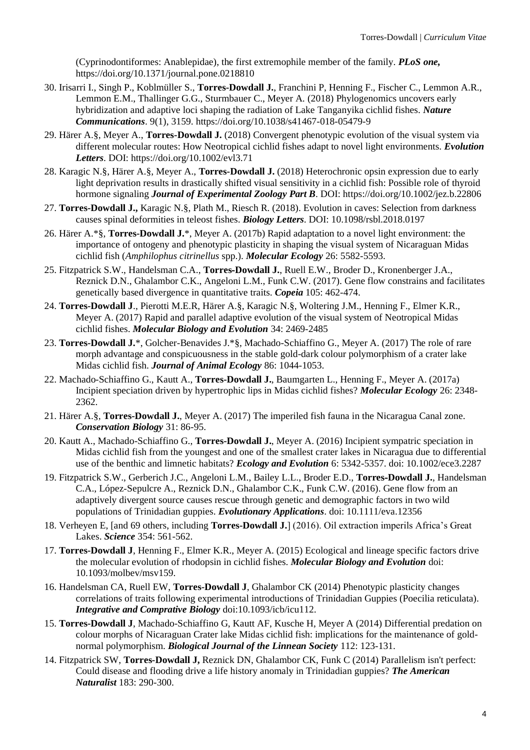(Cyprinodontiformes: Anablepidae), the first extremophile member of the family. *PLoS one,* https://doi.org/10.1371/journal.pone.0218810

- 30. Irisarri I., Singh P., Koblmüller S., **Torres-Dowdall J.**, Franchini P, Henning F., Fischer C., Lemmon A.R., Lemmon E.M., Thallinger G.G., Sturmbauer C., Meyer A. (2018) Phylogenomics uncovers early hybridization and adaptive loci shaping the radiation of Lake Tanganyika cichlid fishes. *Nature Communications*. 9(1), 3159. https://doi.org/10.1038/s41467-018-05479-9
- 29. Härer A.§, Meyer A., **Torres-Dowdall J.** (2018) Convergent phenotypic evolution of the visual system via different molecular routes: How Neotropical cichlid fishes adapt to novel light environments. *Evolution Letters*. DOI:<https://doi.org/10.1002/evl3.71>
- 28. Karagic N.§, Härer A.§, Meyer A., **Torres-Dowdall J.** (2018) Heterochronic opsin expression due to early light deprivation results in drastically shifted visual sensitivity in a cichlid fish: Possible role of thyroid hormone signaling *Journal of Experimental Zoology Part B*. DOI:<https://doi.org/10.1002/jez.b.22806>
- 27. **Torres-Dowdall J.,** Karagic N.§, Plath M., Riesch R. (2018). Evolution in caves: Selection from darkness causes spinal deformities in teleost fishes. *Biology Letters*. DOI: 10.1098/rsbl.2018.0197
- 26. Härer A.\*§, **Torres-Dowdall J.**\*, Meyer A. (2017b) Rapid adaptation to a novel light environment: the importance of ontogeny and phenotypic plasticity in shaping the visual system of Nicaraguan Midas cichlid fish (*Amphilophus citrinellus* spp.). *Molecular Ecology* 26: 5582-5593.
- 25. Fitzpatrick S.W., Handelsman C.A., **Torres‐Dowdall J.**, Ruell E.W., Broder D., Kronenberger J.A., Reznick D.N., Ghalambor C.K., Angeloni L.M., Funk C.W. (2017). Gene flow constrains and facilitates genetically based divergence in quantitative traits. *Copeia* 105: 462-474.
- 24. **Torres-Dowdall J**., Pierotti M.E.R, Härer A.§, Karagic N.§, Woltering J.M., Henning F., Elmer K.R., Meyer A. (2017) Rapid and parallel adaptive evolution of the visual system of Neotropical Midas cichlid fishes. *Molecular Biology and Evolution* 34: 2469-2485
- 23. **Torres-Dowdall J.**\*, Golcher-Benavides J.\*§, Machado-Schiaffino G., Meyer A. (2017) The role of rare morph advantage and conspicuousness in the stable gold-dark colour polymorphism of a crater lake Midas cichlid fish. *Journal of Animal Ecology* 86: 1044-1053.
- 22. Machado-Schiaffino G., Kautt A., **Torres-Dowdall J.**, Baumgarten L., Henning F., Meyer A. (2017a) Incipient speciation driven by hypertrophic lips in Midas cichlid fishes? *Molecular Ecology* 26: 2348- 2362.
- 21. Härer A.§, **Torres-Dowdall J.**, Meyer A. (2017) The imperiled fish fauna in the Nicaragua Canal zone. *Conservation Biology* 31: 86-95.
- 20. Kautt A., Machado-Schiaffino G., **Torres-Dowdall J.**, Meyer A. (2016) Incipient sympatric speciation in Midas cichlid fish from the youngest and one of the smallest crater lakes in Nicaragua due to differential use of the benthic and limnetic habitats? *Ecology and Evolution* 6: 5342-5357. doi: 10.1002/ece3.2287
- 19. Fitzpatrick S.W., Gerberich J.C., Angeloni L.M., Bailey L.L., Broder E.D., **Torres‐Dowdall J.**, Handelsman C.A., López‐Sepulcre A., Reznick D.N., Ghalambor C.K., Funk C.W. (2016). Gene flow from an adaptively divergent source causes rescue through genetic and demographic factors in two wild populations of Trinidadian guppies. *Evolutionary Applications*. doi: 10.1111/eva.12356
- 18. Verheyen E, [and 69 others, including **Torres-Dowdall J.**] (2016). Oil extraction imperils Africa's Great Lakes. *Science* 354: 561-562.
- 17. **Torres-Dowdall J**, Henning F., Elmer K.R., Meyer A. (2015) Ecological and lineage specific factors drive the molecular evolution of rhodopsin in cichlid fishes. *Molecular Biology and Evolution* doi: 10.1093/molbev/msv159.
- 16. Handelsman CA, Ruell EW, **Torres-Dowdall J**, Ghalambor CK (2014) Phenotypic plasticity changes correlations of traits following experimental introductions of Trinidadian Guppies (Poecilia reticulata). *Integrative and Comprative Biology* doi:10.1093/icb/icu112.
- 15. **Torres-Dowdall J**, Machado-Schiaffino G, Kautt AF, Kusche H, Meyer A (2014) Differential predation on colour morphs of Nicaraguan Crater lake Midas cichlid fish: implications for the maintenance of goldnormal polymorphism. *Biological Journal of the Linnean Society* 112: 123-131.
- 14. Fitzpatrick SW, **Torres-Dowdall J,** Reznick DN, Ghalambor CK, Funk C (2014) Parallelism isn't perfect: Could disease and flooding drive a life history anomaly in Trinidadian guppies? *The American Naturalist* 183: 290-300.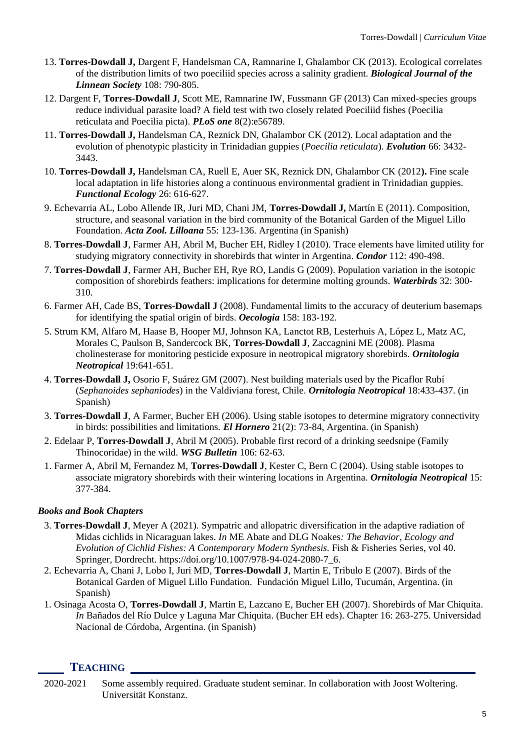- 13. **Torres-Dowdall J,** Dargent F, Handelsman CA, Ramnarine I, Ghalambor CK (2013). Ecological correlates of the distribution limits of two poeciliid species across a salinity gradient. *Biological Journal of the Linnean Society* 108: 790-805.
- 12. Dargent F, **Torres-Dowdall J**, Scott ME, Ramnarine IW, Fussmann GF (2013) Can mixed-species groups reduce individual parasite load? A field test with two closely related Poeciliid fishes (Poecilia reticulata and Poecilia picta). *PLoS one* 8(2):e56789.
- 11. **Torres-Dowdall J,** Handelsman CA, Reznick DN, Ghalambor CK (2012). Local adaptation and the evolution of phenotypic plasticity in Trinidadian guppies (*Poecilia reticulata*). *Evolution* 66: 3432- 3443.
- 10. **Torres-Dowdall J,** Handelsman CA, Ruell E, Auer SK, Reznick DN, Ghalambor CK (2012**).** Fine scale local adaptation in life histories along a continuous environmental gradient in Trinidadian guppies. *Functional Ecology* 26: 616-627.
- 9. Echevarria AL, Lobo Allende IR, Juri MD, Chani JM, **Torres-Dowdall J,** Martín E (2011). Composition, structure, and seasonal variation in the bird community of the Botanical Garden of the Miguel Lillo Foundation. *Acta Zool. Lilloana* 55: 123-136. Argentina (in Spanish)
- 8. **Torres-Dowdall J**, Farmer AH, Abril M, Bucher EH, Ridley I (2010). Trace elements have limited utility for studying migratory connectivity in shorebirds that winter in Argentina. *Condor* 112: 490-498.
- 7. **Torres-Dowdall J**, Farmer AH, Bucher EH, Rye RO, Landis G (2009). Population variation in the isotopic composition of shorebirds feathers: implications for determine molting grounds. *Waterbirds* 32: 300- 310.
- 6. Farmer AH, Cade BS, **Torres-Dowdall J** (2008). Fundamental limits to the accuracy of deuterium basemaps for identifying the spatial origin of birds. *Oecologia* 158: 183-192.
- 5. Strum KM, Alfaro M, Haase B, Hooper MJ, Johnson KA, Lanctot RB, Lesterhuis A, López L, Matz AC, Morales C, Paulson B, Sandercock BK, **Torres-Dowdall J**, Zaccagnini ME (2008). Plasma cholinesterase for monitoring pesticide exposure in neotropical migratory shorebirds. *Ornitologia Neotropical* 19:641-651.
- 4. **Torres-Dowdall J,** Osorio F, Suárez GM (2007). Nest building materials used by the Picaflor Rubí (*Sephanoides sephaniodes*) in the Valdiviana forest, Chile. *Ornitologia Neotropical* 18:433-437. (in Spanish)
- 3. **Torres-Dowdall J**, A Farmer, Bucher EH (2006). Using stable isotopes to determine migratory connectivity in birds: possibilities and limitations. *El Hornero* 21(2): 73-84, Argentina. (in Spanish)
- 2. Edelaar P, **Torres-Dowdall J**, Abril M (2005). Probable first record of a drinking seedsnipe (Family Thinocoridae) in the wild. *WSG Bulletin* 106: 62-63.
- 1. Farmer A, Abril M, Fernandez M, **Torres-Dowdall J**, Kester C, Bern C (2004). Using stable isotopes to associate migratory shorebirds with their wintering locations in Argentina. *Ornitología Neotropical* 15: 377-384.

#### *Books and Book Chapters*

- 3. **Torres-Dowdall J**, Meyer A (2021). Sympatric and allopatric diversification in the adaptive radiation of Midas cichlids in Nicaraguan lakes. *In* ME Abate and DLG Noakes*: The Behavior, Ecology and Evolution of Cichlid Fishes: A Contemporary Modern Synthesis.* Fish & Fisheries Series, vol 40. Springer, Dordrecht. https://doi.org/10.1007/978-94-024-2080-7\_6.
- 2. Echevarria A, Chani J, Lobo I, Juri MD, **Torres-Dowdall J**, Martin E, Tribulo E (2007). Birds of the Botanical Garden of Miguel Lillo Fundation. Fundación Miguel Lillo, Tucumán, Argentina. (in Spanish)
- 1. Osinaga Acosta O, **Torres-Dowdall J**, Martin E, Lazcano E, Bucher EH (2007). Shorebirds of Mar Chiquita. *In* Bañados del Río Dulce y Laguna Mar Chiquita. (Bucher EH eds). Chapter 16: 263-275. Universidad Nacional de Córdoba, Argentina. (in Spanish)

# **TEACHING**

2020-2021 Some assembly required. Graduate student seminar. In collaboration with Joost Woltering. Universität Konstanz.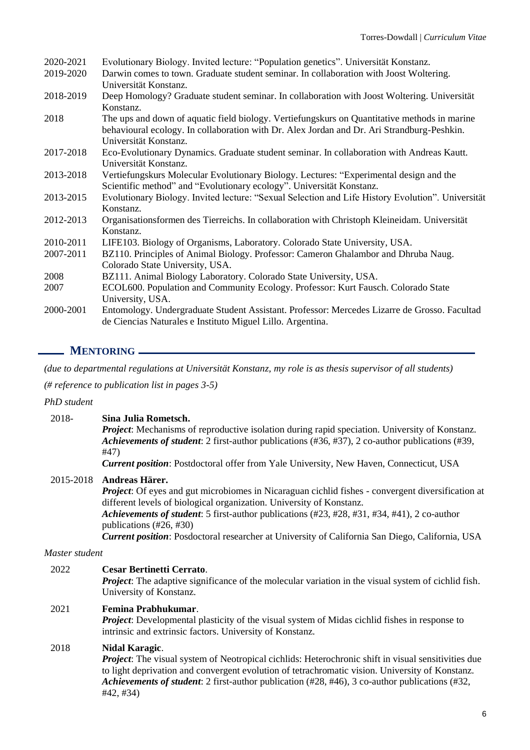| 2020-2021 | Evolutionary Biology. Invited lecture: "Population genetics". Universität Konstanz.                             |
|-----------|-----------------------------------------------------------------------------------------------------------------|
| 2019-2020 | Darwin comes to town. Graduate student seminar. In collaboration with Joost Woltering.<br>Universität Konstanz. |
| 2018-2019 | Deep Homology? Graduate student seminar. In collaboration with Joost Woltering. Universität                     |
| 2018      | Konstanz.<br>The ups and down of aquatic field biology. Vertiefungs kurs on Quantitative methods in marine      |
|           | behavioural ecology. In collaboration with Dr. Alex Jordan and Dr. Ari Strandburg-Peshkin.                      |
|           | Universität Konstanz.                                                                                           |
| 2017-2018 | Eco-Evolutionary Dynamics. Graduate student seminar. In collaboration with Andreas Kautt.                       |
|           | Universität Konstanz.                                                                                           |
| 2013-2018 | Vertiefungskurs Molecular Evolutionary Biology. Lectures: "Experimental design and the                          |
|           | Scientific method" and "Evolutionary ecology". Universität Konstanz.                                            |
| 2013-2015 | Evolutionary Biology. Invited lecture: "Sexual Selection and Life History Evolution". Universität               |
|           | Konstanz.                                                                                                       |
| 2012-2013 | Organisationsformen des Tierreichs. In collaboration with Christoph Kleineidam. Universität                     |
|           | Konstanz.                                                                                                       |
| 2010-2011 | LIFE103. Biology of Organisms, Laboratory. Colorado State University, USA.                                      |
| 2007-2011 | BZ110. Principles of Animal Biology. Professor: Cameron Ghalambor and Dhruba Naug.                              |
|           | Colorado State University, USA.                                                                                 |
| 2008      | BZ111. Animal Biology Laboratory. Colorado State University, USA.                                               |
| 2007      | ECOL600. Population and Community Ecology. Professor: Kurt Fausch. Colorado State                               |
|           | University, USA.                                                                                                |
| 2000-2001 | Entomology. Undergraduate Student Assistant. Professor: Mercedes Lizarre de Grosso. Facultad                    |
|           | de Ciencias Naturales e Instituto Miguel Lillo. Argentina.                                                      |

# **MENTORING**

*(due to departmental regulations at Universität Konstanz, my role is as thesis supervisor of all students)*

*(# reference to publication list in pages 3-5)*

#### *PhD student*

#### 2018- **Sina Julia Rometsch.**

*Project*: Mechanisms of reproductive isolation during rapid speciation. University of Konstanz. *Achievements of student*: 2 first-author publications (#36, #37), 2 co-author publications (#39, #47)

*Current position*: Postdoctoral offer from Yale University, New Haven, Connecticut, USA

#### 2015-2018 **Andreas Härer.**

*Project*: Of eyes and gut microbiomes in Nicaraguan cichlid fishes - convergent diversification at different levels of biological organization. University of Konstanz.

*Achievements of student*: 5 first-author publications (#23, #28, #31, #34, #41), 2 co-author publications (#26, #30)

*Current position*: Posdoctoral researcher at University of California San Diego, California, USA

#### *Master student*

#### 2022 **Cesar Bertinetti Cerrato**.

*Project*: The adaptive significance of the molecular variation in the visual system of cichlid fish. University of Konstanz.

#### 2021 **Femina Prabhukumar**.

*Project*: Developmental plasticity of the visual system of Midas cichlid fishes in response to intrinsic and extrinsic factors. University of Konstanz.

#### 2018 **Nidal Karagic**.

*Project*: The visual system of Neotropical cichlids: Heterochronic shift in visual sensitivities due to light deprivation and convergent evolution of tetrachromatic vision. University of Konstanz. *Achievements of student*: 2 first-author publication (#28, #46), 3 co-author publications (#32, #42, #34)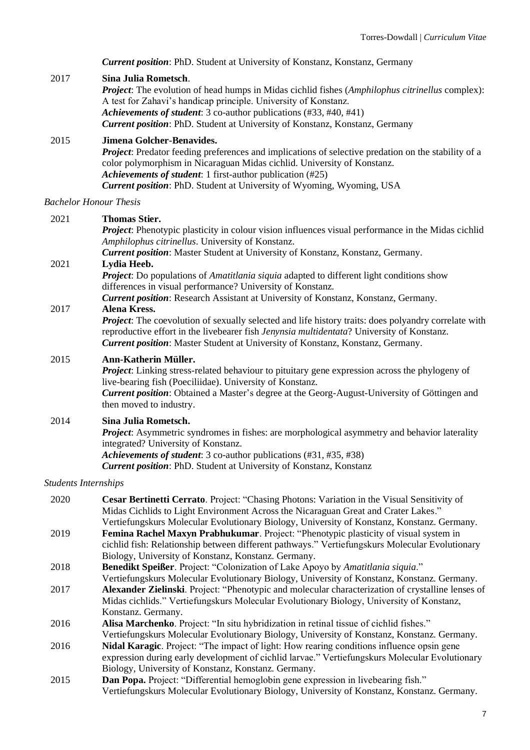*Current position*: PhD. Student at University of Konstanz, Konstanz, Germany

#### 2017 **Sina Julia Rometsch**.

*Project*: The evolution of head humps in Midas cichlid fishes (*Amphilophus citrinellus* complex): A test for Zahavi's handicap principle. University of Konstanz. *Achievements of student*: 3 co-author publications (#33, #40, #41) *Current position*: PhD. Student at University of Konstanz, Konstanz, Germany

#### 2015 **Jimena Golcher-Benavides.**

*Project*: Predator feeding preferences and implications of selective predation on the stability of a color polymorphism in Nicaraguan Midas cichlid. University of Konstanz. *Achievements of student*: 1 first-author publication (#25) *Current position*: PhD. Student at University of Wyoming, Wyoming, USA

#### *Bachelor Honour Thesis*

#### 2021 **Thomas Stier.**

*Project*: Phenotypic plasticity in colour vision influences visual performance in the Midas cichlid *Amphilophus citrinellus*. University of Konstanz.

*Current position*: Master Student at University of Konstanz, Konstanz, Germany.

# 2021 **Lydia Heeb.**

*Project*: Do populations of *Amatitlania siquia* adapted to different light conditions show differences in visual performance? University of Konstanz.

*Current position*: Research Assistant at University of Konstanz, Konstanz, Germany.

#### 2017 **Alena Kress.**

*Project*: The coevolution of sexually selected and life history traits: does polyandry correlate with reproductive effort in the livebearer fish *Jenynsia multidentata*? University of Konstanz. *Current position*: Master Student at University of Konstanz, Konstanz, Germany.

#### 2015 **Ann-Katherin Müller.**

*Project*: Linking stress-related behaviour to pituitary gene expression across the phylogeny of live-bearing fish (Poeciliidae). University of Konstanz. *Current position*: Obtained a Master's degree at the Georg-August-University of Göttingen and then moved to industry.

#### 2014 **Sina Julia Rometsch.**

*Project*: Asymmetric syndromes in fishes: are morphological asymmetry and behavior laterality integrated? University of Konstanz.

*Achievements of student*: 3 co-author publications (#31, #35, #38) *Current position*: PhD. Student at University of Konstanz, Konstanz

#### *Students Internships*

| 2020 | Cesar Bertinetti Cerrato. Project: "Chasing Photons: Variation in the Visual Sensitivity of |
|------|---------------------------------------------------------------------------------------------|
|      | Midas Cichlids to Light Environment Across the Nicaraguan Great and Crater Lakes."          |
|      | Vertiefungskurs Molecular Evolutionary Biology, University of Konstanz, Konstanz. Germany.  |
| 2019 | Femina Rachel Maxyn Prabhukumar. Project: "Phenotypic plasticity of visual system in        |

- cichlid fish: Relationship between different pathways." Vertiefungskurs Molecular Evolutionary Biology, University of Konstanz, Konstanz. Germany.
- 2018 **Benedikt Speißer**. Project: "Colonization of Lake Apoyo by *Amatitlania siquia*." Vertiefungskurs Molecular Evolutionary Biology, University of Konstanz, Konstanz. Germany.
- 2017 **Alexander Zielinski**. Project: "Phenotypic and molecular characterization of crystalline lenses of Midas cichlids." Vertiefungskurs Molecular Evolutionary Biology, University of Konstanz, Konstanz. Germany.
- 2016 **Alisa Marchenko**. Project: "In situ hybridization in retinal tissue of cichlid fishes."
- Vertiefungskurs Molecular Evolutionary Biology, University of Konstanz, Konstanz. Germany. 2016 **Nidal Karagic**. Project: "The impact of light: How rearing conditions influence opsin gene
- expression during early development of cichlid larvae." Vertiefungskurs Molecular Evolutionary Biology, University of Konstanz, Konstanz. Germany.
- 2015 **Dan Popa.** Project: "Differential hemoglobin gene expression in livebearing fish." Vertiefungskurs Molecular Evolutionary Biology, University of Konstanz, Konstanz. Germany.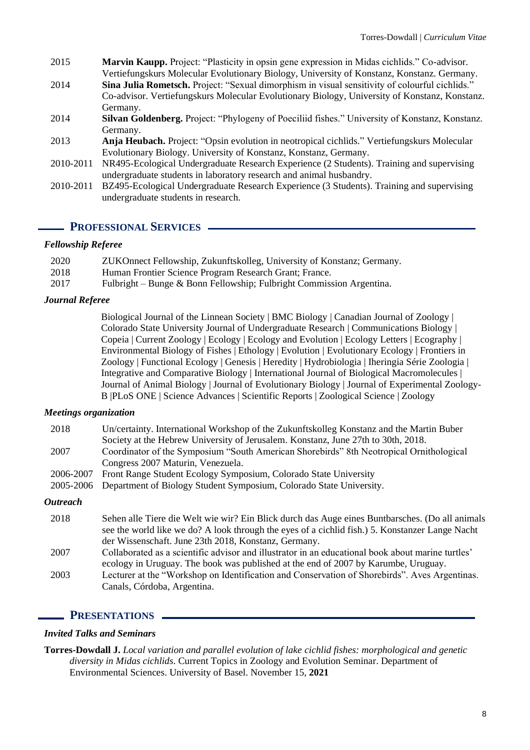- 2015 **Marvin Kaupp.** Project: "Plasticity in opsin gene expression in Midas cichlids." Co-advisor. Vertiefungskurs Molecular Evolutionary Biology, University of Konstanz, Konstanz. Germany.
- 2014 **Sina Julia Rometsch.** Project: "Sexual dimorphism in visual sensitivity of colourful cichlids." Co-advisor. Vertiefungskurs Molecular Evolutionary Biology, University of Konstanz, Konstanz. Germany.
- 2014 **Silvan Goldenberg.** Project: "Phylogeny of Poeciliid fishes." University of Konstanz, Konstanz. Germany.
- 2013 **Anja Heubach.** Project: "Opsin evolution in neotropical cichlids." Vertiefungskurs Molecular Evolutionary Biology. University of Konstanz, Konstanz, Germany.
- 2010-2011 NR495-Ecological Undergraduate Research Experience (2 Students). Training and supervising undergraduate students in laboratory research and animal husbandry.
- 2010-2011 BZ495-Ecological Undergraduate Research Experience (3 Students). Training and supervising undergraduate students in research.

## **PROFESSIONAL SERVICES**

#### *Fellowship Referee*

| 2020 | ZUKOnnect Fellowship, Zukunftskolleg, University of Konstanz; Germany. |
|------|------------------------------------------------------------------------|
| 2018 | Human Frontier Science Program Research Grant; France.                 |
| 2017 | Fulbright – Bunge & Bonn Fellowship; Fulbright Commission Argentina.   |

#### *Journal Referee*

Biological Journal of the Linnean Society | BMC Biology | Canadian Journal of Zoology | Colorado State University Journal of Undergraduate Research | Communications Biology | Copeia | Current Zoology | Ecology | Ecology and Evolution | Ecology Letters | Ecography | Environmental Biology of Fishes | Ethology | Evolution | Evolutionary Ecology | Frontiers in Zoology | Functional Ecology | Genesis | Heredity | Hydrobiologia | Iheringia Série Zoologia | Integrative and Comparative Biology | International Journal of Biological Macromolecules | Journal of Animal Biology | Journal of Evolutionary Biology | Journal of Experimental Zoology-B |PLoS ONE | Science Advances | Scientific Reports | Zoological Science | Zoology

#### *Meetings organization*

| 2018                   | Un/certainty. International Workshop of the Zukunftskolleg Konstanz and the Martin Buber          |
|------------------------|---------------------------------------------------------------------------------------------------|
|                        | Society at the Hebrew University of Jerusalem. Konstanz, June 27th to 30th, 2018.                 |
| 2007                   | Coordinator of the Symposium "South American Shorebirds" 8th Neotropical Ornithological           |
|                        | Congress 2007 Maturin, Venezuela.                                                                 |
| 2006-2007              | Front Range Student Ecology Symposium, Colorado State University                                  |
| 2005-2006              | Department of Biology Student Symposium, Colorado State University.                               |
| <i><b>Outreach</b></i> |                                                                                                   |
| 2018                   | Sehen alle Tiere die Welt wie wir? Ein Blick durch das Auge eines Buntbarsches. (Do all animals   |
|                        | see the world like we do? A look through the eyes of a cichlid fish.) 5. Konstanzer Lange Nacht   |
|                        | der Wissenschaft. June 23th 2018, Konstanz, Germany.                                              |
| 2007                   | Collaborated as a scientific advisor and illustrator in an educational book about marine turtles' |
|                        | ecology in Uruguay. The book was published at the end of 2007 by Karumbe, Uruguay.                |
| 2003                   | Lecturer at the "Workshop on Identification and Conservation of Shorebirds". Aves Argentinas.     |

#### **PRESENTATIONS**

Canals, Córdoba, Argentina.

#### *Invited Talks and Seminars*

**Torres-Dowdall J.** *Local variation and parallel evolution of lake cichlid fishes: morphological and genetic diversity in Midas cichlids*. Current Topics in Zoology and Evolution Seminar. Department of Environmental Sciences. University of Basel. November 15, **2021**